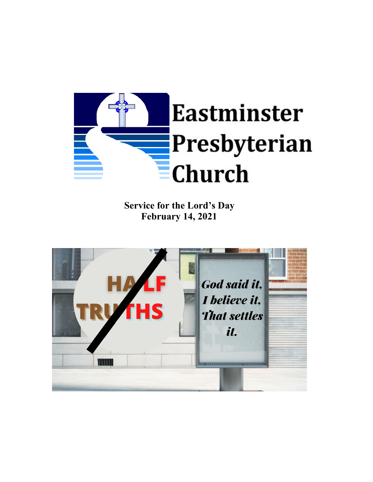

**Service for the Lord's Day February 14, 2021**

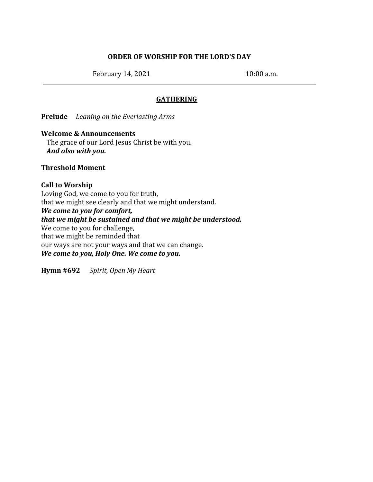# **ORDER OF WORSHIP FOR THE LORD'S DAY**

February 14, 2021 10:00 a.m.

# **GATHERING**

**Prelude** *Leaning on the Everlasting Arms*

### **Welcome & Announcements**

The grace of our Lord Jesus Christ be with you. *And also with you.*

### **Threshold Moment**

# **Call to Worship** Loving God, we come to you for truth, that we might see clearly and that we might understand. *We come to you for comfort, that we might be sustained and that we might be understood.* We come to you for challenge, that we might be reminded that our ways are not your ways and that we can change. *We come to you, Holy One. We come to you.*

**Hymn #692** *Spirit, Open My Heart*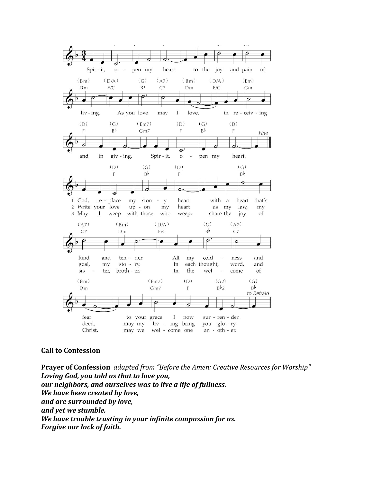

## **Call to Confession**

**Prayer of Confession** *adapted from "Before the Amen: Creative Resources for Worship" Loving God, you told us that to love you, our neighbors, and ourselves was to live a life of fullness. We have been created by love, and are surrounded by love, and yet we stumble. We have trouble trusting in your infinite compassion for us. Forgive our lack of faith.*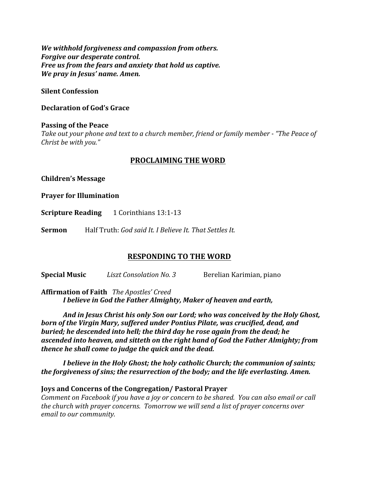*We withhold forgiveness and compassion from others. Forgive our desperate control. Free us from the fears and anxiety that hold us captive. We pray in Jesus' name. Amen.*

### **Silent Confession**

#### **Declaration of God's Grace**

### **Passing of the Peace** *Take out your phone and text to a church member, friend or family member - "The Peace of Christ be with you."*

## **PROCLAIMING THE WORD**

**Children's Message**

**Prayer for Illumination**

**Scripture Reading** 1 Corinthians 13:1-13

**Sermon** Half Truth: *God said It. I Believe It. That Settles It.*

### **RESPONDING TO THE WORD**

**Special Music** *Liszt Consolation No. 3* Berelian Karimian, piano

**Affirmation of Faith** *The Apostles' Creed I believe in God the Father Almighty, Maker of heaven and earth,*

*And in Jesus Christ his only Son our Lord; who was conceived by the Holy Ghost, born of the Virgin Mary, suffered under Pontius Pilate, was crucified, dead, and buried; he descended into hell; the third day he rose again from the dead; he ascended into heaven, and sitteth on the right hand of God the Father Almighty; from thence he shall come to judge the quick and the dead.*

*I believe in the Holy Ghost; the holy catholic Church; the communion of saints; the forgiveness of sins; the resurrection of the body; and the life everlasting. Amen.*

#### **Joys and Concerns of the Congregation/ Pastoral Prayer**

*Comment on Facebook if you have a joy or concern to be shared. You can also email or call the church with prayer concerns. Tomorrow we will send a list of prayer concerns over email to our community.*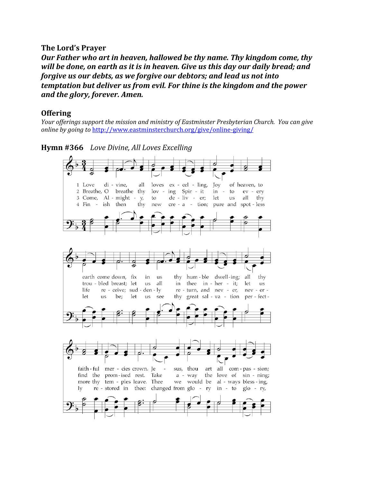## **The Lord's Prayer**

*Our Father who art in heaven, hallowed be thy name. Thy kingdom come, thy will be done, on earth as it is in heaven. Give us this day our daily bread; and forgive us our debts, as we forgive our debtors; and lead us not into temptation but deliver us from evil. For thine is the kingdom and the power and the glory, forever. Amen.*

### **Offering**

*Your of erings support the mission and ministry of Eastminster Presbyterian Church. You can give online by going to* <http://www.eastminsterchurch.org/give/online-giving/>

**Hymn #366** *Love Divine, All Loves Excelling*